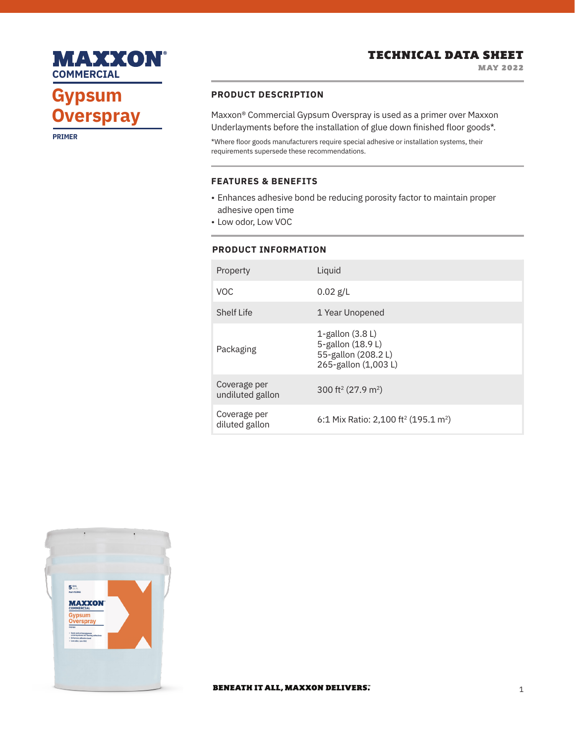

# TECHNICAL DATA SHEET

MAY 2022

# **Gypsum Overspray**

**Overspray**

**PRIMER**

## **PRODUCT DESCRIPTION**

Maxxon® Commercial Gypsum Overspray is used as a primer over Maxxon Underlayments before the installation of glue down finished floor goods\*.

\*Where floor goods manufacturers require special adhesive or installation systems, their requirements supersede these recommendations.

### **FEATURES & BENEFITS**

- Enhances adhesive bond be reducing porosity factor to maintain proper adhesive open time
- Low odor, Low VOC

#### **PRODUCT INFORMATION**

| Property                         | Liquid                                                                               |
|----------------------------------|--------------------------------------------------------------------------------------|
| <b>VOC</b>                       | $0.02$ g/L                                                                           |
| <b>Shelf Life</b>                | 1 Year Unopened                                                                      |
| Packaging                        | 1-gallon $(3.8 L)$<br>5-gallon (18.9 L)<br>55-gallon (208.2L)<br>265-gallon (1,003L) |
| Coverage per<br>undiluted gallon | 300 ft <sup>2</sup> (27.9 m <sup>2</sup> )                                           |
| Coverage per<br>diluted gallon   | 6:1 Mix Ratio: 2,100 ft <sup>2</sup> (195.1 m <sup>2</sup> )                         |